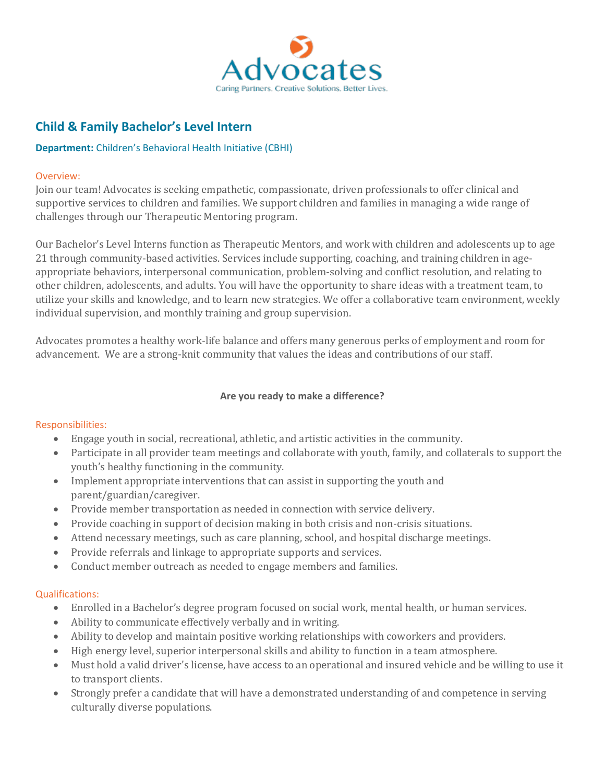

# **Child & Family Bachelor's Level Intern**

# **Department:** Children's Behavioral Health Initiative (CBHI)

## Overview:

Join our team! Advocates is seeking empathetic, compassionate, driven professionals to offer clinical and supportive services to children and families. We support children and families in managing a wide range of challenges through our Therapeutic Mentoring program.

Our Bachelor's Level Interns function as Therapeutic Mentors, and work with children and adolescents up to age 21 through community-based activities. Services include supporting, coaching, and training children in ageappropriate behaviors, interpersonal communication, problem-solving and conflict resolution, and relating to other children, adolescents, and adults. You will have the opportunity to share ideas with a treatment team, to utilize your skills and knowledge, and to learn new strategies. We offer a collaborative team environment, weekly individual supervision, and monthly training and group supervision.

Advocates promotes a healthy work-life balance and offers many generous perks of employment and room for advancement. We are a strong-knit community that values the ideas and contributions of our staff.

## **Are you ready to make a difference?**

#### Responsibilities:

- Engage youth in social, recreational, athletic, and artistic activities in the community.
- Participate in all provider team meetings and collaborate with youth, family, and collaterals to support the youth's healthy functioning in the community.
- Implement appropriate interventions that can assist in supporting the youth and parent/guardian/caregiver.
- Provide member transportation as needed in connection with service delivery.
- Provide coaching in support of decision making in both crisis and non-crisis situations.
- Attend necessary meetings, such as care planning, school, and hospital discharge meetings.
- Provide referrals and linkage to appropriate supports and services.
- Conduct member outreach as needed to engage members and families.

#### Qualifications:

- Enrolled in a Bachelor's degree program focused on social work, mental health, or human services.
- Ability to communicate effectively verbally and in writing.
- Ability to develop and maintain positive working relationships with coworkers and providers.
- High energy level, superior interpersonal skills and ability to function in a team atmosphere.
- Must hold a valid driver's license, have access to an operational and insured vehicle and be willing to use it to transport clients.
- Strongly prefer a candidate that will have a demonstrated understanding of and competence in serving culturally diverse populations.